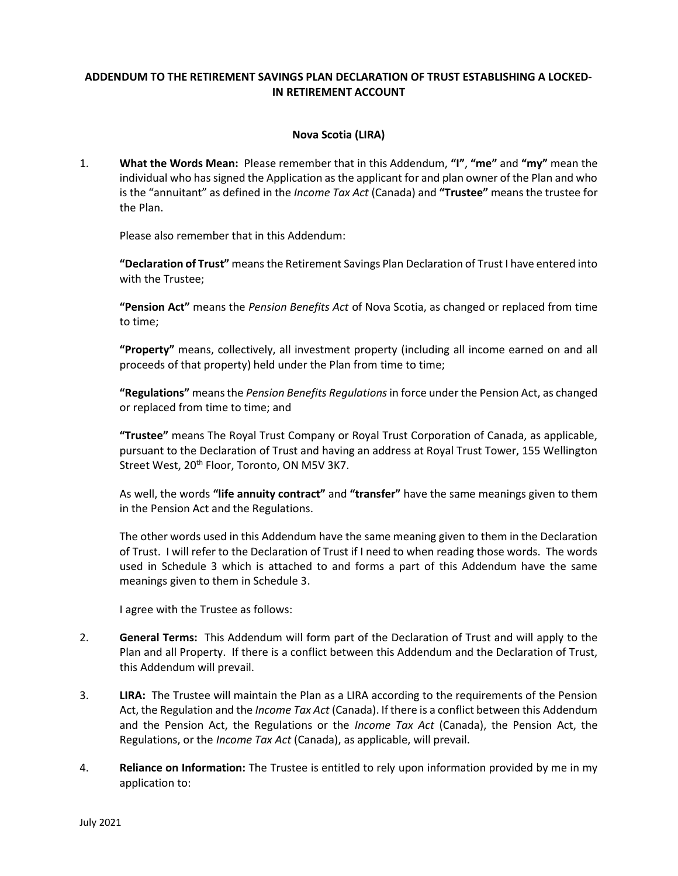# ADDENDUM TO THE RETIREMENT SAVINGS PLAN DECLARATION OF TRUST ESTABLISHING A LOCKED-IN RETIREMENT ACCOUNT

## Nova Scotia (LIRA)

1. What the Words Mean: Please remember that in this Addendum, "I", "me" and "my" mean the individual who has signed the Application as the applicant for and plan owner of the Plan and who is the "annuitant" as defined in the *Income Tax Act* (Canada) and "Trustee" means the trustee for the Plan.

Please also remember that in this Addendum:

"Declaration of Trust" means the Retirement Savings Plan Declaration of Trust I have entered into with the Trustee;

"Pension Act" means the Pension Benefits Act of Nova Scotia, as changed or replaced from time to time;

"Property" means, collectively, all investment property (including all income earned on and all proceeds of that property) held under the Plan from time to time;

"Regulations" means the Pension Benefits Regulations in force under the Pension Act, as changed or replaced from time to time; and

"Trustee" means The Royal Trust Company or Royal Trust Corporation of Canada, as applicable, pursuant to the Declaration of Trust and having an address at Royal Trust Tower, 155 Wellington Street West, 20<sup>th</sup> Floor, Toronto, ON M5V 3K7.

As well, the words "life annuity contract" and "transfer" have the same meanings given to them in the Pension Act and the Regulations.

The other words used in this Addendum have the same meaning given to them in the Declaration of Trust. I will refer to the Declaration of Trust if I need to when reading those words. The words used in Schedule 3 which is attached to and forms a part of this Addendum have the same meanings given to them in Schedule 3.

I agree with the Trustee as follows:

- 2. General Terms: This Addendum will form part of the Declaration of Trust and will apply to the Plan and all Property. If there is a conflict between this Addendum and the Declaration of Trust, this Addendum will prevail.
- 3. LIRA: The Trustee will maintain the Plan as a LIRA according to the requirements of the Pension Act, the Regulation and the *Income Tax Act* (Canada). If there is a conflict between this Addendum and the Pension Act, the Regulations or the *Income Tax Act* (Canada), the Pension Act, the Regulations, or the *Income Tax Act* (Canada), as applicable, will prevail.
- 4. Reliance on Information: The Trustee is entitled to rely upon information provided by me in my application to: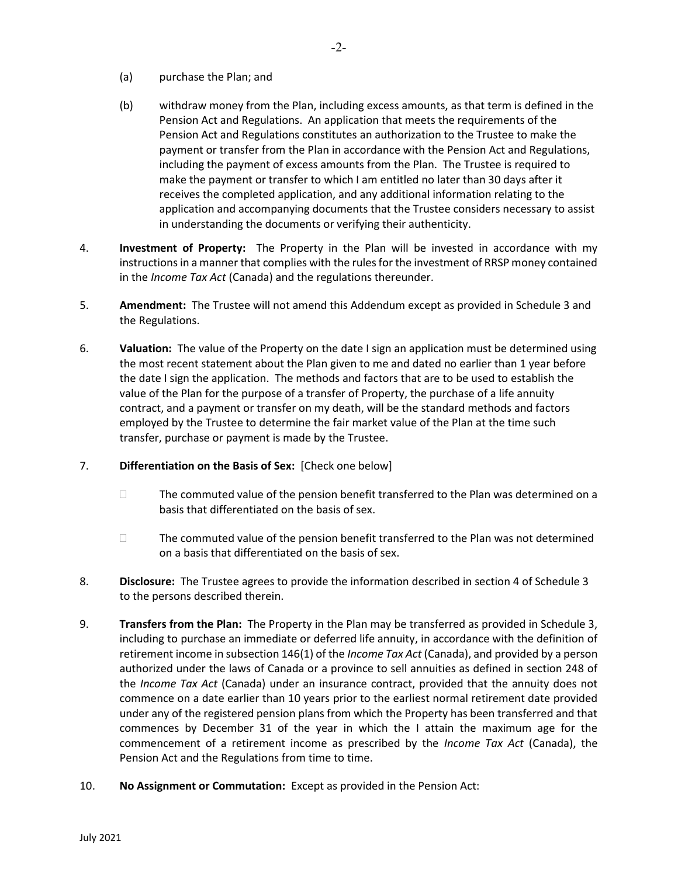- (a) purchase the Plan; and
- (b) withdraw money from the Plan, including excess amounts, as that term is defined in the Pension Act and Regulations. An application that meets the requirements of the Pension Act and Regulations constitutes an authorization to the Trustee to make the payment or transfer from the Plan in accordance with the Pension Act and Regulations, including the payment of excess amounts from the Plan. The Trustee is required to make the payment or transfer to which I am entitled no later than 30 days after it receives the completed application, and any additional information relating to the application and accompanying documents that the Trustee considers necessary to assist in understanding the documents or verifying their authenticity.
- 4. **Investment of Property:** The Property in the Plan will be invested in accordance with my instructions in a manner that complies with the rules for the investment of RRSP money contained in the *Income Tax Act* (Canada) and the regulations thereunder.
- 5. Amendment: The Trustee will not amend this Addendum except as provided in Schedule 3 and the Regulations.
- 6. Valuation: The value of the Property on the date I sign an application must be determined using the most recent statement about the Plan given to me and dated no earlier than 1 year before the date I sign the application. The methods and factors that are to be used to establish the value of the Plan for the purpose of a transfer of Property, the purchase of a life annuity contract, and a payment or transfer on my death, will be the standard methods and factors employed by the Trustee to determine the fair market value of the Plan at the time such transfer, purchase or payment is made by the Trustee.
- 7. Differentiation on the Basis of Sex: [Check one below]
	- $\Box$  The commuted value of the pension benefit transferred to the Plan was determined on a basis that differentiated on the basis of sex.
	- $\Box$  The commuted value of the pension benefit transferred to the Plan was not determined on a basis that differentiated on the basis of sex.
- 8. Disclosure: The Trustee agrees to provide the information described in section 4 of Schedule 3 to the persons described therein.
- 9. Transfers from the Plan: The Property in the Plan may be transferred as provided in Schedule 3, including to purchase an immediate or deferred life annuity, in accordance with the definition of retirement income in subsection 146(1) of the *Income Tax Act* (Canada), and provided by a person authorized under the laws of Canada or a province to sell annuities as defined in section 248 of the Income Tax Act (Canada) under an insurance contract, provided that the annuity does not commence on a date earlier than 10 years prior to the earliest normal retirement date provided under any of the registered pension plans from which the Property has been transferred and that commences by December 31 of the year in which the I attain the maximum age for the commencement of a retirement income as prescribed by the *Income Tax Act* (Canada), the Pension Act and the Regulations from time to time.
- 10. No Assignment or Commutation: Except as provided in the Pension Act: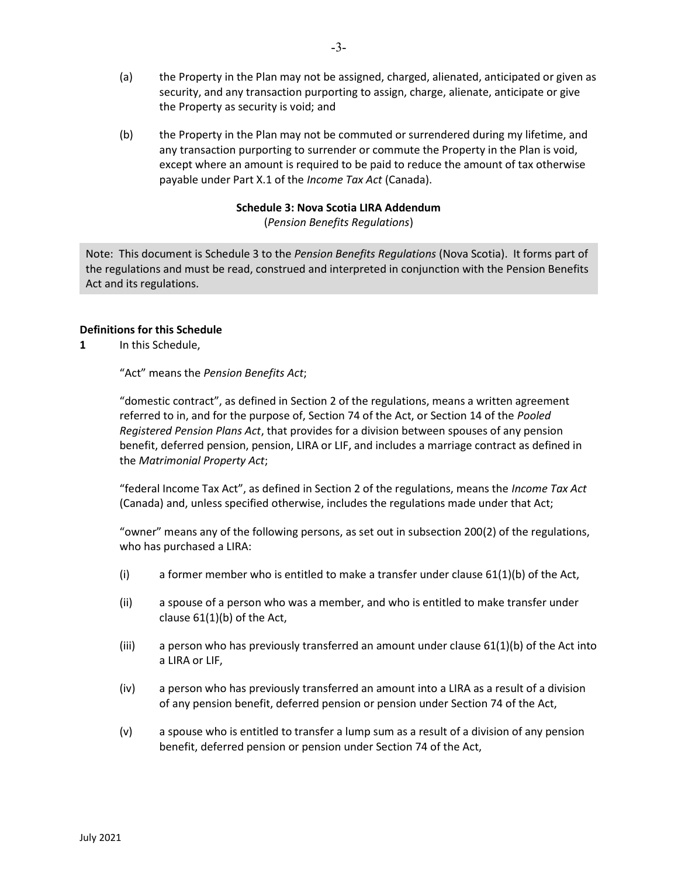- (a) the Property in the Plan may not be assigned, charged, alienated, anticipated or given as security, and any transaction purporting to assign, charge, alienate, anticipate or give the Property as security is void; and
- (b) the Property in the Plan may not be commuted or surrendered during my lifetime, and any transaction purporting to surrender or commute the Property in the Plan is void, except where an amount is required to be paid to reduce the amount of tax otherwise payable under Part X.1 of the Income Tax Act (Canada).

# Schedule 3: Nova Scotia LIRA Addendum

(Pension Benefits Regulations)

Note: This document is Schedule 3 to the Pension Benefits Regulations (Nova Scotia). It forms part of the regulations and must be read, construed and interpreted in conjunction with the Pension Benefits Act and its regulations.

## Definitions for this Schedule

1 In this Schedule.

"Act" means the Pension Benefits Act;

"domestic contract", as defined in Section 2 of the regulations, means a written agreement referred to in, and for the purpose of, Section 74 of the Act, or Section 14 of the Pooled Registered Pension Plans Act, that provides for a division between spouses of any pension benefit, deferred pension, pension, LIRA or LIF, and includes a marriage contract as defined in the Matrimonial Property Act;

"federal Income Tax Act", as defined in Section 2 of the regulations, means the *Income Tax Act* (Canada) and, unless specified otherwise, includes the regulations made under that Act;

"owner" means any of the following persons, as set out in subsection 200(2) of the regulations, who has purchased a LIRA:

- (i) a former member who is entitled to make a transfer under clause 61(1)(b) of the Act,
- (ii) a spouse of a person who was a member, and who is entitled to make transfer under clause 61(1)(b) of the Act,
- (iii) a person who has previously transferred an amount under clause  $61(1)(b)$  of the Act into a LIRA or LIF,
- (iv) a person who has previously transferred an amount into a LIRA as a result of a division of any pension benefit, deferred pension or pension under Section 74 of the Act,
- (v) a spouse who is entitled to transfer a lump sum as a result of a division of any pension benefit, deferred pension or pension under Section 74 of the Act,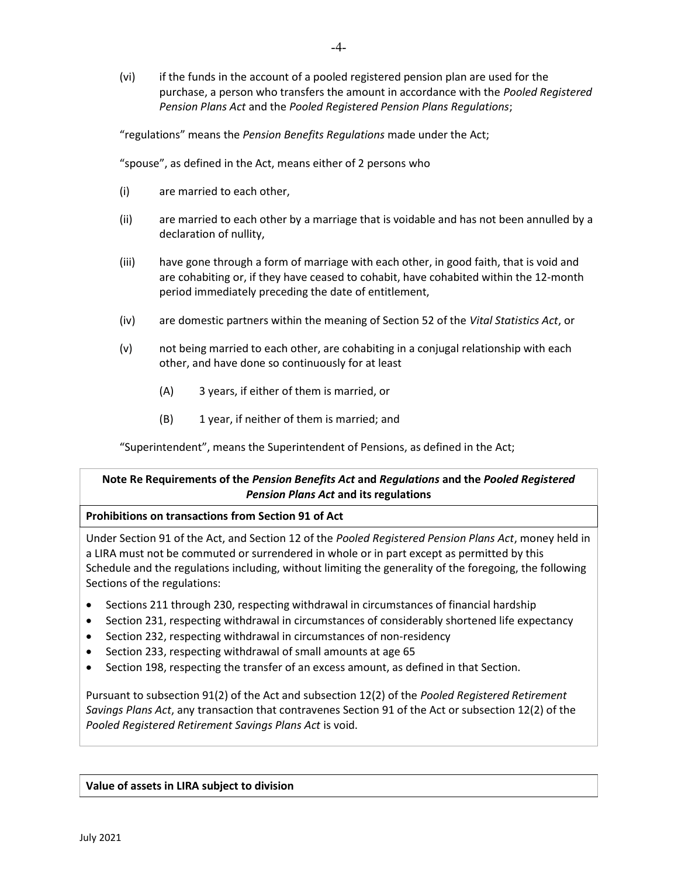(vi) if the funds in the account of a pooled registered pension plan are used for the purchase, a person who transfers the amount in accordance with the Pooled Registered Pension Plans Act and the Pooled Registered Pension Plans Regulations;

"regulations" means the Pension Benefits Regulations made under the Act;

"spouse", as defined in the Act, means either of 2 persons who

- (i) are married to each other,
- (ii) are married to each other by a marriage that is voidable and has not been annulled by a declaration of nullity,
- (iii) have gone through a form of marriage with each other, in good faith, that is void and are cohabiting or, if they have ceased to cohabit, have cohabited within the 12-month period immediately preceding the date of entitlement,
- (iv) are domestic partners within the meaning of Section 52 of the Vital Statistics Act, or
- (v) not being married to each other, are cohabiting in a conjugal relationship with each other, and have done so continuously for at least
	- (A) 3 years, if either of them is married, or
	- (B) 1 year, if neither of them is married; and

"Superintendent", means the Superintendent of Pensions, as defined in the Act;

# Note Re Requirements of the Pension Benefits Act and Regulations and the Pooled Registered Pension Plans Act and its regulations

#### Prohibitions on transactions from Section 91 of Act

Under Section 91 of the Act, and Section 12 of the Pooled Registered Pension Plans Act, money held in a LIRA must not be commuted or surrendered in whole or in part except as permitted by this Schedule and the regulations including, without limiting the generality of the foregoing, the following Sections of the regulations:

- Sections 211 through 230, respecting withdrawal in circumstances of financial hardship
- Section 231, respecting withdrawal in circumstances of considerably shortened life expectancy
- Section 232, respecting withdrawal in circumstances of non-residency
- Section 233, respecting withdrawal of small amounts at age 65
- Section 198, respecting the transfer of an excess amount, as defined in that Section.

Pursuant to subsection 91(2) of the Act and subsection 12(2) of the Pooled Registered Retirement Savings Plans Act, any transaction that contravenes Section 91 of the Act or subsection 12(2) of the Pooled Registered Retirement Savings Plans Act is void.

#### Value of assets in LIRA subject to division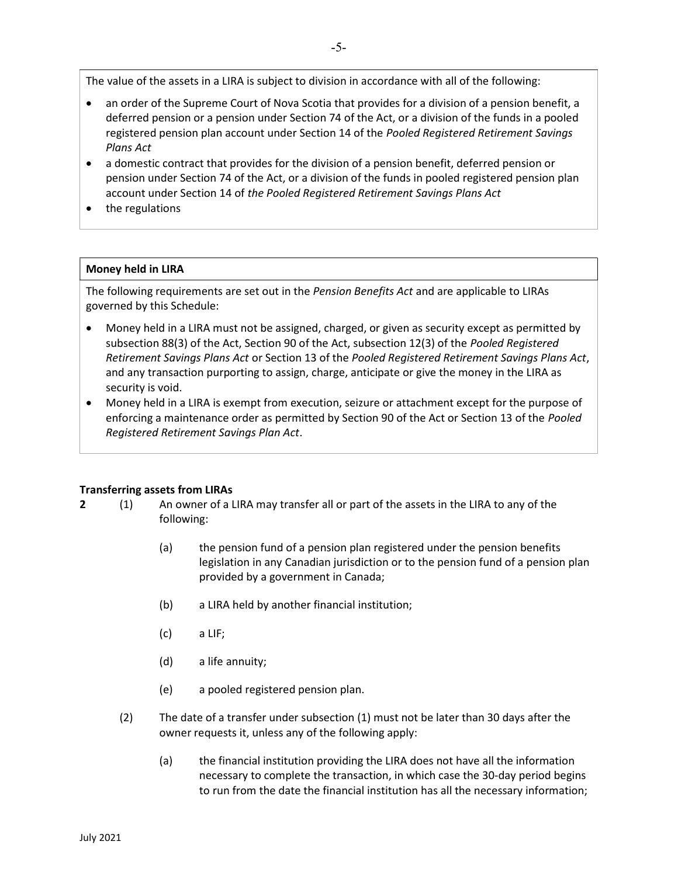The value of the assets in a LIRA is subject to division in accordance with all of the following:

- an order of the Supreme Court of Nova Scotia that provides for a division of a pension benefit, a deferred pension or a pension under Section 74 of the Act, or a division of the funds in a pooled registered pension plan account under Section 14 of the Pooled Registered Retirement Savings Plans Act
- a domestic contract that provides for the division of a pension benefit, deferred pension or pension under Section 74 of the Act, or a division of the funds in pooled registered pension plan account under Section 14 of the Pooled Registered Retirement Savings Plans Act
- the regulations

#### Money held in LIRA

The following requirements are set out in the Pension Benefits Act and are applicable to LIRAs governed by this Schedule:

- Money held in a LIRA must not be assigned, charged, or given as security except as permitted by subsection 88(3) of the Act, Section 90 of the Act, subsection 12(3) of the Pooled Registered Retirement Savings Plans Act or Section 13 of the Pooled Registered Retirement Savings Plans Act, and any transaction purporting to assign, charge, anticipate or give the money in the LIRA as security is void.
- Money held in a LIRA is exempt from execution, seizure or attachment except for the purpose of enforcing a maintenance order as permitted by Section 90 of the Act or Section 13 of the Pooled Registered Retirement Savings Plan Act.

#### Transferring assets from LIRAs

- 2 (1) An owner of a LIRA may transfer all or part of the assets in the LIRA to any of the following:
	- (a) the pension fund of a pension plan registered under the pension benefits legislation in any Canadian jurisdiction or to the pension fund of a pension plan provided by a government in Canada;
	- (b) a LIRA held by another financial institution;
	- (c) a LIF;
	- (d) a life annuity;
	- (e) a pooled registered pension plan.
	- (2) The date of a transfer under subsection (1) must not be later than 30 days after the owner requests it, unless any of the following apply:
		- (a) the financial institution providing the LIRA does not have all the information necessary to complete the transaction, in which case the 30-day period begins to run from the date the financial institution has all the necessary information;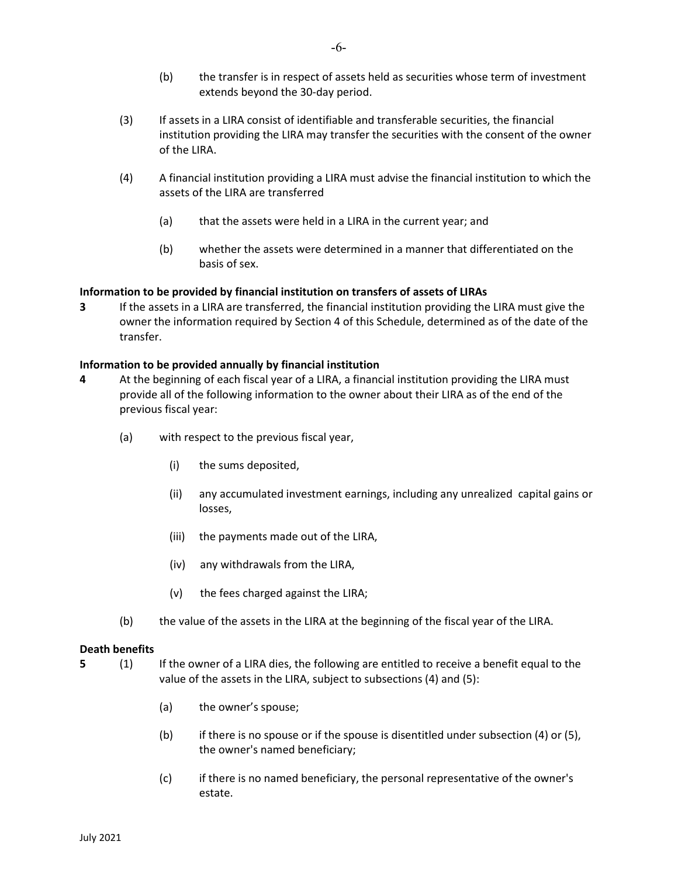- (b) the transfer is in respect of assets held as securities whose term of investment extends beyond the 30-day period.
- (3) If assets in a LIRA consist of identifiable and transferable securities, the financial institution providing the LIRA may transfer the securities with the consent of the owner of the LIRA.
- (4) A financial institution providing a LIRA must advise the financial institution to which the assets of the LIRA are transferred
	- (a) that the assets were held in a LIRA in the current year; and
	- (b) whether the assets were determined in a manner that differentiated on the basis of sex.

# Information to be provided by financial institution on transfers of assets of LIRAs

3 If the assets in a LIRA are transferred, the financial institution providing the LIRA must give the owner the information required by Section 4 of this Schedule, determined as of the date of the transfer.

## Information to be provided annually by financial institution

- 4 At the beginning of each fiscal year of a LIRA, a financial institution providing the LIRA must provide all of the following information to the owner about their LIRA as of the end of the previous fiscal year:
	- (a) with respect to the previous fiscal year,
		- (i) the sums deposited,
		- (ii) any accumulated investment earnings, including any unrealized capital gains or losses,
		- (iii) the payments made out of the LIRA,
		- (iv) any withdrawals from the LIRA,
		- (v) the fees charged against the LIRA;
	- (b) the value of the assets in the LIRA at the beginning of the fiscal year of the LIRA.

## Death benefits

- 5 (1) If the owner of a LIRA dies, the following are entitled to receive a benefit equal to the value of the assets in the LIRA, subject to subsections (4) and (5):
	- (a) the owner's spouse;
	- (b) if there is no spouse or if the spouse is disentitled under subsection (4) or (5), the owner's named beneficiary;
	- (c) if there is no named beneficiary, the personal representative of the owner's estate.